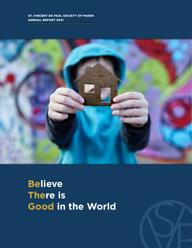## St. Vincent de Paul Society of Marin Annual report 2021



**Believe There is Good in the World**

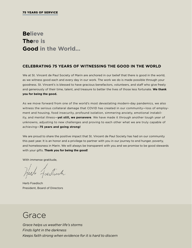# **Believe There is Good in the World...**

## **CELEBRATING 75 YEARS OF WITNESSING THE GOOD IN THE WORLD**

We at St. Vincent de Paul Society of Marin are anchored in our belief that there is good in the world, as we witness good each and every day in our work. The work we do is made possible through your goodness. St. Vincent's is blessed to have gracious benefactors, volunteers, and staff who give freely and generously of their time, talent, and treasure to better the lives of those less fortunate. **We thank you for being the good.** 

As we move forward from one of the world's most devastating modern-day pandemics, we also witness the serious collateral damage that COVID has created in our community—loss of employment and housing, food insecurity, profound isolation, simmering anxiety, emotional instability, and mental illness—**yet still, we persevere**. We have made it through another tough year of unknowns, adjusting to new challenges and proving to each other what we are truly capable of achieving—**75 years and going strong!**

We are proud to share the positive impact that St. Vincent de Paul Society has had on our community this past year. It is an honor and a privilege to partner with you in our journey to end hunger, poverty, and homelessness in Marin. We will always be transparent with you and we promise to be good stewards with your gifts. **Thank you for being the good!**

With immense gratitude,

tut Loedisch

Herb Foedisch President, Board of Directors

# **Grace**

*Grace helps us weather life's storms Finds light in the darkness Keeps faith strong when evidence for it is hard to discern*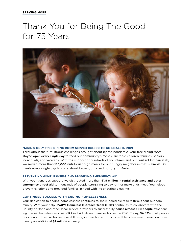# Thank You for Being The Good for 75 Years



#### **MARIN'S ONLY FREE DINING ROOM SERVED 180,000 TO-GO MEALS IN 2021**

Throughout the tumultuous challenges brought about by the pandemic, your free dining room stayed **open every single day** to feed our community's most vulnerable children, families, seniors, individuals, and veterans. With the support of hundreds of volunteers and our resilient kitchen staff, we served more than **180,000** nutritious to-go meals for our hungry neighbors—that is almost 500 meals every single day. No one should ever go to bed hungry in Marin.

#### **PREVENTING HOMELESSNESS AND PROVIDING EMERGENCY AID**

With your generous support, we distributed more than **\$1.8 million in rental assistance and other emergency direct aid** to thousands of people struggling to pay rent or make ends meet. You helped prevent evictions and provided families in need with life enduring blessings.

#### **CONTINUED SUCCESS WITH ENDING HOMELESSNESS**

Your dedication to ending homelessness continues to show incredible results throughout our community. With your help, **SVdP's Homeless Outreach Team (HOT)** continues to collaborate with the County of Marin and other local service providers to successfully **house almost 500 people** experiencing chronic homelessness, with **122** individuals and families housed in 2021. Today, **94.83%** of all people our collaborative has housed are still living in their homes. This incredible achievement saves our community an additional **\$2 million** annually.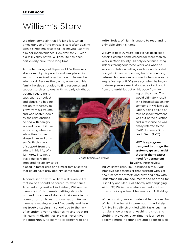# William's Story

We often complain that life isn't fair. Oftentimes our use of the phrase is said after dealing with a single major setback or maybe just after a minor inconvenience. However, for 70-yearold Mill Valley native William, life has been particularly cruel for a long time.

At the tender age of 9-years-old, William was abandoned by his parents and was placed in an institutionalized boys home until he reached adulthood. Besides the glaring absence of his family, he also struggled to find resources and support services to deal with his early childhood

trauma regarding issues such as neglect and abuse. He had no option for therapy to grow from his trauma and was beaten down by the relationships he had with caregivers and older children in his living situation who often further abused him and others. With this lack of support from the adults in his life, William grew into negative behaviors that impacted his ability to be



*Photo Credit: Ron Greene*

write. Today, William is unable to read and is only able sign his name.

William is now 70-years-old. He has been experiencing chronic homelessness for more than 35 years in Marin County. His only experience living indoors throughout these years was when he was in institutional settings such as in a hospital or in jail. Otherwise spending his time bouncing between homeless encampments, he was able to keep afloat up until 10 years ago when he began to develop severe medical issues, a direct result from the hardships put on his body from liv-

> ing on the street. This would ultimately result in his hospitalization. For someone in William's situation, being able to afford hospital treatment was out of the question and in response he was finally referred to the SVdP Homeless Outreach Team (HOT).

**HOT is a program designed to bridge the system gaps and assist those in the greatest need for permanent housing.** After review-

placed in foster care or a similar family setting that could have provided him some stability.

A conversation with William will reveal a life that no one should be forced to experience. A remarkably resilient individual, William has memories of his parents battling alcoholism and instances of domestic violence in his home prior to his institutionalization. He remembers moving around frequently and having trouble staying in school due to the lack of attention given to diagnosing and treating his learning disabilities. He was never given the opportunity to learn to properly read and

ing William's case, HOT assigned him a SVdP intensive case manager that assisted with getting him off the streets and provided help with understanding vital documents and applying for Disability and Medi-Cal. Shortly after engaging with HOT, William was also awarded a subsidized studio apartment for seniors in Mill Valley.

While housing was an undeniable lifesaver for William, the benefits were not immediately felt. He initially struggled with tasks such as regular showering and washing dishes and clothing. However, over time he learned to become more independent and adapted well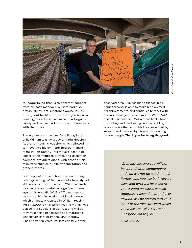

to indoor living thanks to constant support from his case manager. William had also previously fought substance abuse issues throughout his life but after living in his new housing, his substance use reduced significantly and he has had no further interactions with the police.

Three years after successfully living in his unit, William was awarded a Marin Housing Authority housing voucher which allowed him to move into his own one-bedroom apartment in San Rafael. This move placed him closer to his medical, dental, and case management providers along with other crucial resources such as public transportation and grocery stores.

Seemingly at a time in his life when nothing could go wrong, William was unfortunately not at the end of his problems. In 2020 he was hit by a vehicle and sustained significant damage to his legs. His SVdP HOT case manager supported him in seeking out legal counsel which ultimately resulted in William receiving \$175,000 for his suffering. The money was placed in a Special Needs Trust and will go toward specific needs such as a motorized wheelchair, care providers, and therapy. Finally, after 70 years, William can take a welldeserved break. He has made friends in his neighborhood, is able to make his own medical appointments, and continues to meet with his case managers twice a month. With SVdP and HOT behind him, William has finally found his footing and has been given the building blocks to live the rest of his life surrounded by support and motived by his own unwavering inner-strength. **Thank you for being the good.**

> "*Stop judging and you will not be judged. Stop condemning and you will not be condemned. Forgive and you will be forgiven. Give, and gifts will be given to you; a good measure, packed together, shaken down, and overflowing, will be poured into your lap. For the measure with which you measure will in return be measured out to you."*

*Luke 6:27-38*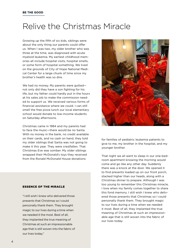# Relive the Christmas Miracle

Growing up the fifth of six kids, siblings were about the only thing our parents could offer us. When I was two, my older brother who was three at the time, was diagnosed with acute myeloid leukemia. My earliest childhood memories all include hospital visits, hospital smells, or some form of hospital something. We lived on the grounds of City of Hope National Medical Center for a large chunk of time since my brother's health was so dire.

We had no money. My parents were gutted not only did they have a son fighting for his life, but my father could hardly put in the hours at his sales job to make the commission needed to support us. We received various forms of financial assistance where we could. I can still smell the free pizza lunch our local elementary school would donate to low-income students on Saturday afternoons.

Christmas came in 1984 and my parents had to face the music—there would be no Santa. With no money in the bank, no credit available on their cards, and no cash on hand, they told my older siblings that Santa was not going to make it this year. They were crestfallen. That Christmas Eve was somber. My older siblings wrapped their McDonald's toys they received from the Ronald McDonald House donations

#### Essence of the Miracle

"I still wish I knew who delivered those presents that Christmas so I could personally thank them. They brought magic to our lives during a time when we needed it the most. Best of all, they implanted the true meaning of Christmas at such an impressionable age that is still woven into the fabric of our lives today."



for families of pediatric leukemia patients to give to me, my brother in the hospital, and my younger brother.

That night we all went to sleep in our one-bedroom apartment knowing the morning would come and go like any other day. Suddenly there was a knock at the door. We opened it to find presents loaded up on our front porch, stacked higher than our heads, along with a Christmas dinner to prepare. Although I was too young to remember this Christmas miracle, I love when my family comes together to share this fond memory. I still wish I knew who delivered those presents that Christmas so I could personally thank them. They brought magic to our lives during a time when we needed it most. Best of all, they implanted the true meaning of Christmas at such an impressionable age that is still woven into the fabric of our lives today.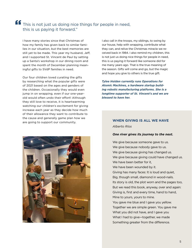# This is not just us doing nice things for people in need, this is us paying it forward."

I have many stories since that Christmas of how my family has given back to similar families in our situation, but the best memories are still yet to be made. This year my husband, Jeff, and I supported St. Vincent de Paul by setting up a Santa's workshop in our dining room and spent the month of December planning meaningful gifts to SVdP families in need.

Our four children loved curating the gifts by researching what the popular gifts were of 2021 based on the ages and genders of the children. Occasionally they would even jump in on wrapping, even if our one-yearold would often undo their effort! Although they still love to receive, it is heartwarming watching our children's excitement for giving increase each year as they decide how much of their allowance they want to contribute to the cause and generally game plan how we are going to support our community.



I also call in the troops, my siblings, to swing by our house, help with wrapping, contribute what they can, and relive the Christmas miracle we received back in 1984. I also remind my children, this is not just us doing nice things for people in need, this is us paying it forward like someone did for me many years ago. That is the true meaning of the season. Gifts will come and go, but the magic and hope you give to others is the true gift.

*Tylee Holden currently runs Operations for Atomic Machines, a hardware startup building robotic manufacturing platforms. She is a longtime supporter of St. Vincent's and we are blessed to have her.*

# **When Giving Is All We Have**

*Alberto Ríos* 

#### *One river gives its journey to the next.*

We give because someone gave to us. We give because nobody gave to us. We give because giving has changed us. We give because giving could have changed us. We have been better for it, We have been wounded by it. Giving has many faces: It is loud and quiet, Big, though small, diamond in wood-nails. Its story is old, the plot worn and the pages too, But we read this book, anyway, over and again: Giving is, first and every time, hand to hand, Mine to yours, yours to mine. You gave me blue and I gave you yellow. Together we are simple green. You gave me What you did not have, and I gave you What I had to give—together, we made Something greater from the difference.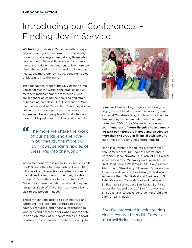# Introducing our Conferences – Finding Joy in Service

**We find joy in service.** We serve with no expectation of recognition or reward. Just knowing our effort and energies are helping those who receive them fills us with peace and contentment, and a richer life experience. The more we share the work of our hands and the love in our hearts, the more our joy grows, sending ripples of blessings into the world.

The foundational work of the St. Vincent de Paul Society across the world is the practice of our members making home visits to people who are in danger of losing their housing and afraid of becoming homeless. Our St. Vincent de Paul members are called "Vincentians" and they do the critical work of visiting these at-risk seniors, lowincome families and people with disabilities who have trouble paying rent, utilities, and other bills.

The more we share the work of our hands and the love in our hearts, the more our joy grows, sending ripples of blessings into the world." "

When someone who is precariously housed calls our B Street office for help with rent or a utility bill, one of our Prevention volunteers answers the call and refers them to their neighborhood group of Vincentians, called a "conference." Once the conference gets the referral, they arrange for a pair of Vincentians to make a home visit to the person in need.

These Vincentians provide open-hearted and judgment-free listening, referrals to other county resources, and financial assistance to landlords and other vendors when appropriate. In addition, many of our conferences run food pantries and conference members show up to



home visits with a bag of groceries or a grocery gift card. Most conferences also organize a special Christmas program to ensure that the families they serve can celebrate. Last year, more than 200 of our Vincentian volunteers spent **hundreds of hours listening to and meeting with our neighbors in need and distributed more than \$450,000 in financial assistance** to keep these struggling neighbors housed.

Marin is currently divided into eleven Vincentian Conferences: Our Lady of Loretto and St. Anthony's serve Novato; Our Lady of Mt. Carmel serves Marin City, Mill Valley and Sausalito, Sacred Heart serves West Marin; St. Hilary's serves Tiburon and Strawberry; St. Anselm's serves San Anselmo and parts of San Rafael, St. Isabella's serves northern San Rafael and Marinwood, St. Patrick's serves Corte Madera and Larkspur, St. Raphael's serves east San Rafael, St. Rita's serves Fairfax and parts of San Anselmo, and St. Sebastian's serves Greenbrae, Kentfield and parts of San Rafael.

If you're interested in volunteering please contact Meredith Parnell at mparnell@vinnies.org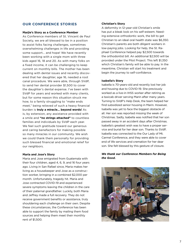## **Our Conference Stories**

#### **Marjie's Story as a Conference Member**

As Conference members of St. Vincent de Paul Society, we are all blessed to be in a position to assist folks facing challenges, sometimes overwhelming challenges in life and providing some support... and hope! We have recently been working with a single mom with three kids aged 16, 18 and 20. As with many folks on a fixed income, it can be challenging to keep current on monthly bills. The mother has been dealing with dental issues and recently discovered that her daughter, age 16, needed a root canal procedure. We were able, through SVdP, to send her dental provider \$1,500 to cover the daughter's dental expense. I've been with SVdP for years and worked with many clients, but for some reason this situation struck me how, to a family struggling to "make ends meet," being relieved of such a heavy financial burden is **truly a miracle... beyond words!** As is, by extension, any assistance provided with a smile and **"no strings attached"** to countless families and individuals by SVdP each year. We feel such gratitude toward our generous and caring benefactors for making possible so many miracles in our community. We wish we could thank them personally for providing such blessed financial and emotional relief for our neighbors.

#### **Maria and Jose's Story**

Maria and Jose emigrated from Guatemala with their four children, aged 4, 6, 9, and 16 four years ago. Living in San Rafael since, Maria makes her living as a housekeeper and Jose as a construction worker, bringing in a combined \$2,000 per month. Unfortunately, tragedy hit. Maria and Jose contracted COVID-19 and experienced severe symptoms leaving the children in the care of their paternal grandfather. Luckily, both Maria and Jeffrey made a full recovery. They do not receive government benefits or assistance, truly shouldering each challenge on their own. Despite these circumstances, the Conference has been able to support the family by mailing them food sources and helping them meet their monthly rent of \$1,500.

#### **Christian's Story**

A deformity in 12-year-old Christian's smile has put a bleak look on his self-esteem. Needing extensive orthodontic work, the bill to get Christian to an ideal oral health state was \$6,350. Christian's parents are both diligent workers in low-paying jobs. Looking for help, the St. Raphael Conference helped pay \$2,500 towards the orthodontist bill. An additional \$2,500 will be provided under the Pilot Project. This left \$1,350 which Christian's family will be able to pay. In the meantime, Christian will start his treatment and begin the journey to self-confidence.

#### **Isabella's Story**

Isabella is 70-years-old and recently lost her job and housing due to COVID-19. She previously worked as a live-in IHSS worker after retiring as a taxicab driver serving Marin after many years. Turning to SVdP's Help Desk, the team helped her find subsidized senior housing in Marin. However, Isabella was yet to face the biggest obstacle of all. Her son was reported missing the week of Christmas. Sadly, Isabella was notified that her son passed away in an accident days after Christmas. Isabella's greatest wish was to have a proper service and burial for her dear son. Thanks to SVdP, Isabella was connected to the Our Lady of Mt. Carmel Conference, and they were able to cover end of life services and cremation for her dear son. She felt blessed by this gesture of closure.

#### *We thank our Conference Members for Being the Good.*

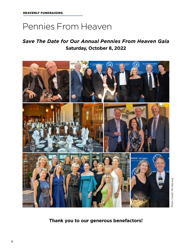# Pennies From Heaven

# *Save The Date for Our Annual Pennies From Heaven Gala* **Saturday, October 8, 2022**



**Thank you to our generous benefactors!**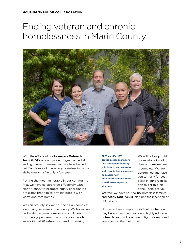# Ending veteran and chronic homelessness in Marin County



With the efforts of our **Homeless Outreach Team (HOT)**, a countywide program aimed at ending chronic homelessness, we have helped cut Marin's rate of chronically homeless individuals by nearly half in only a few years.

Putting the most vulnerable in our community first, we have collaborated effectively with Marin County to promote highly coordinated programs that aim to provide people with warm and safe homes.

We can proudly say we housed all 48 homeless identifying veterans in the county. We hoped we had ended veteran homelessness in Marin. Unfortunately, pandemic circumstances have left an additional 28 veterans in need of housing.

**St. Vincent's HOT program case managers find permanent housing solutions to end veterans and chronic homelessness, no matter how difficult or complex their situation—one person at a time.**

We will not stop until our mission of ending chronic homelessness is complete. We are determined and have you to thank for your belief in our organization to get this job done. Thanks to you,

last year we have housed **122** homeless families and **nearly 500** individuals since the inception of HOT in 2016.

No matter how complex or difficult a situation may be, our compassionate and highly educated outreach team will continue to fight for each and every person that needs help.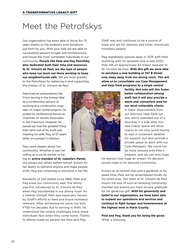# Meet the Petrofskys

Our organization has been able to thrive for 75 years thanks to the endlessly kind donations put forth by you. With your help we are able to successfully prevent hunger and homelessness and house the most vulnerable individuals in our community. **People like Pete and Peg Petrofsky, who dedicated both their time and resources to St. Vincent de Paul, are the type of people who keep our team out there working to keep our neighborhoods safe.** We are most grateful to the Petrofskys for believing in and supporting the mission of St. Vincent de Paul.

Pete lived an extraordinary life. From serving in the Korean War as a construction advisor to working as a construction engineer on major tunnel projects, he ended his professional tenure as Chairman of Jacobs Associates in San Francisco. However, he would say that the greatest thing that came out of his work was meeting his wife, Peg, of 57 years while on a project in Boston.

Peg cared deeply about her community. Whether it was her calling as a social worker or be-

ing an **active member of St. Isabella's Parish,** she always put others before herself. Known for her ability to befriend anyone and make people smile, Peg was a blessing to everyone in her life.

Residents of San Rafael since 1966, Pete and Peg knew our community well. The family was first introduced to St. Vincent de Paul when Peg volunteered in our dining room. As a veteran himself, Pete was especially moved by SVdP's efforts to feed and house homeless veterans. After witnessing his uncle live with PTSD for decades due to serving in WWI, he understood the unique challenges these brave individuals face when they come home. Thanks to efforts made by people like Pete and Peg,



SVdP was and continues to be a source of hope and aid for veterans and other chronically homeless people.

Peg regrettably passed away in 2015 with Pete reuniting with his greatest love in late 2020. Pete left an approximate \$2 million bequest to St. Vincent de Paul. **With this gift we were able to purchase a new building at 747 B Street only steps away from our dining room. This will allow us to consolidate our Case Management and Help Desk programs to a single central** 

> **facility. Not only will this foster better collaboration among staff, but it will also provide a warm and convenient area for our most vulnerable clients.**  A major improvement from our previous Help Desk system which operated out of a doorway in a side alley, this new indoor space will allow clients to not only avoid having to wait in inclement weather for support, but also provide a private space to work with our Case Managers. We could not be more blessed with Pete's bequest, and we can only hope

he realizes how huge an impact his decision would make in his beloved community.

Known as an honest man and a gardener in his spare time, Pete will be remembered fondly by his loved ones. Our team at St. Vincent de Paul mourn the loss of such an amazing community member but extend our most sincere gratitude for his generous gift. **With his generosity and belief in our organization, we have been able to expand our operations and services and continue to fight hunger and homelessness at the highest level in Marin County.**

**Pete and Peg, thank you for being the good.** What a blessing.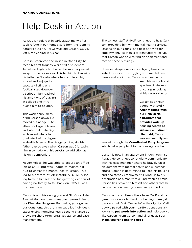# Help Desk in Action

As COVID took root in early 2020, many of us took refuge in our homes, safe from the looming dangers outside. For 31-year-old Carson, COVID left him sleeping in his car.

Born in Greenbrae and raised in Marin City, he faced his first tragedy while still a student at Tamalpais High School when his mother passed away from an overdose. This led him to live with his father in Novato where he completed high

school and enjoyed a successful stint as a football star. However, a serious injury dashed his ambitions of playing in college and introduced him to opiates.

This wasn't enough to bring Carson down. He moved out at age 18 to attend College of Marin and later Cal State Bay in Hayward where he graduated with a degree

in Health Science. Then tragedy hit again. His father passed away when Carson was 24, leaving him in solitude with his substance addiction as his only companion.

Nevertheless, he was able to secure an office job at UCSF but was unable to maintain it due to untreated mental health issues. This led to a pattern of job instability. Quickly losing faith in himself and his growing despair of having no family to fall back on, COVID was the final blow.

Carson found his saving grace at St. Vincent de Paul. At first, our case managers referred him to our **Diversion Program**. Funded by your generous donations, this program supplies individuals experiencing homelessness a second chance by providing short-term rental assistance and case management.

The selfless staff at SVdP continued to help Carson, providing him with mental health services, lessons on budgeting, and help applying for employment. It's thanks to benefactors like you that Carson was able to find an apartment and receive these blessings.

However, despite assistance, trying times persisted for Carson. Struggling with mental health issues and addiction, Carson was unable to

> keep his new job and apartment. He was once again looking at his car for shelter.

Carson soon reengaged with SVdP. **After meeting with our Help Desk, a program that provides walk-up housing search assistance and direct client aid,** Carson was successfully as-

sessed through the **Coordinated Entry Program** which helps people obtain a housing voucher.

Carson is now in an apartment in downtown San Rafael. He continues to regularly communicate with his case manager where he bravely faces his demons with mental health and substance abuse. Carson is determined to keep his housing and find steady employment. Living up to his description as a man with a kind, winning smile, Carson has proven to himself and others that he can cultivate a healthy consistency in his life.

Carson and countless others have SVdP and its generous donors to thank for helping them get back on their feet. Our belief in the dignity of all people paired with your heartfelt donations allow us to **put words into action** and help people like Carson. From Carson and all of us at SVdP, **thank you for being the good.**

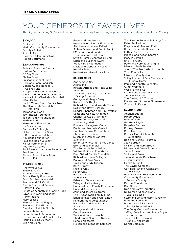# Your Generosity Saves Lives

Thank you for joining St. Vincent de Paul on our journey to end hunger, poverty, and homelessness in Marin County!

#### **\$100,000**

Dr. Richard Mani Marin Community Foundation County of Marin Janet L. Mills - Amber-Allen Publishing Robert Sottimano

#### **\$20,000-99,999**

Bob and Shannon Alten - Alten Consruction CB SkyShare Shahla Cowan Episcopal Impact Fund Herb and Joan Foedisch Donald O. and Ronald R. Collins Fund Joseph and Beverly Giraudo Ginnie and Peter Haas Jr. Fund Harbor Point Charitable Foundation - Bob Kaliski Hart & Wilma Smith Family Trust The Headlands Foundation - Peter Paul Terrance G. Hodel Jay Pritzker Foundation Jolson Family Foundation Mathew Lori Marmontor Foundation - Brice Jones Barbara McCullough Milton and Dorothy Sarnoff Raymond Foundation Navigage Foundation Paul and Helen O'Leary Kaiser Permanente Red Whale Coffee Saul Zaentz Charitable Foundation - Frank Noonan Richard T. and Linda Tarrant Town of Fairfax

#### **\$10,000-19,999**

Anonymous (3) Bruce B. Allen John and Millie Barrett Bonds Family Foundation Bono Brothers Memorial Jeanne and Bill Cahill Dennis Fisco and Pamela Polite-Fisco Estate of Kenneth and Janine Edlin Edward Stewart and Janet Montecalvo Mary Escalle Matt and Andrea Fegley Bruce and Eva Gibbs David and Patricia Grubb Lenore Heffernan Kenneth Frank Accountancy Hector Lopez and Amy Lovelace Marin Housing Authority Brian McGuinn

#### Frank and Lois Noonan

Northwestern Mutual Foundation Stephen and Lorena Pelleriti Sioban Scanlon and Samir Ramji PM Jeannie and Sandro Sangiacomo and Family Snyder Family Charitable Fund Brian and Suzanne Swift Wells Fargo Foundation David and Deborah Wiechers Isobel Wiener Norbert and Roswitha Winter

#### **\$5,000-9999**

Anonymous (2) Aetna, Inc. Ignacio Arribas and Nitsa Lallas AvantStay The Barron Family Charitable Giving Account George and Margie Barry Robert K. Battaglia Richard Cairns and Wendy Tonkin Roger and Betty Cassidy Randall Chapman and Mimi Watson Scott and Celeste Chapman Charles Schwab Charitable Miriam Connaughton and Milton Kypriadis Foster and Margaret Cope Daniel and Nathalie Costello Creative Energy Corporation Christopher Crebbin Susan and Daniel Daniloff eBay Inc. Emeritus Vineyards - Brice Jones Greg and Jean Fidler The Feibusch Foundation William E. Simon Foundation Fred Gellert Family Foundation Richard and Jean Gallagher Duane and Terri Geck Gregg and Judy Gibson Kathy Grady Frankie Gray Karen Gray Barbara Grieco Shirley Hall Brian and Teresa Hauswirth Talley and Mike Henry Hobson/Lucas Family Foundation Holland America Line John and Teresa Beltramo The Kryzanowski Family Fund Brian Johnson and Frank Lindh Kenneth Frank Accountancy Michael and Helene Keran Sue Kunst George and Heidi Larson Gary Lavarack Willy and Susan Lukach Charles and Nancy McQuilkin Ronald Mezzetta Nelson and Elisabeth Lampert

Tom Nelson Revocable Living Trust Peter Paul Wines Eugene and Maureen Pudlo Robert Federighi Design, Inc. Father Paul J. Rossi Michael and Alison Seaman Mary P. Semple Eric R. Shapiro Peter and Veronique Siggins Mike and Beth Smylie Star of The Sea Catholic Church Trust Funds, Inc. Mike and Kim Tyning Valley Memorial Park Cemetery & Funeral Home Paul and Annette Venables Cyndi Weingard Wells Fargo & Co. Darwin and Carole Williams Jim and Toni Wilson YourCause, LLC Trustee Donald and Suzanne Zimmerman Zulu Nyala Group

#### **\$2500-4,999**

Anonymous (1) Miriam Aguiar Bank of Marin Geoffrey Baylor Beverlee Bentley Rodney Bessolo Beth Townsend Bewley-Motluk Charitable Foundation Bob and Denise Helstrom Jean Bordon William and Mary Brody Michael and Gloria Bromham Janet Brown Victoria M Brown Jim and Laurie Bruschera J. Barry Bryson Gerald K Cahill The Caviar Company Certified Parking Attendants, C.P.A Valet Richard and Barbara Colonno Community Foundation Sonoma County Darrow Foundation Don Dayre Don and Darcy Tarantino Dr. Romeo Agbayani and Saskia Russell Stephen Fein and Maren Kinscher Ford and Leticia Fish Robert K and Barbara Straus Family Foundation, Inc. The Betsy Gordon Foundation Jeffrey Freedman and Marie Boylan Joe Garbarino James D. Garrison and Edna S. Nakamoto Daniel Gelbaum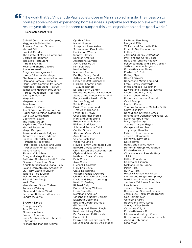"The work that St. Vincent de Paul Society does in Marin is so admirable. Their passion to house people who are experiencing homelessness is palpable and they achieve excellent results year after year. I am honored to support this vital organization and its good works." "

— Benefactor, Janet Mills

Ghilotti Construction Company Maggiora & Ghilotti Inc. Ann and Stephen Gibson Michael Gill Frank J. Gundry The Estate of Mary J. Hammons Gertrud Herkommer Insalata's Restaurant - Heidi Krahling Kevin and Sherrie Jacobs Joyce Kennard Greg Laudenslager and Amy Diller Laudenslager Stephen and Annemarie Lechner Marc and Pamela Garibaldi MarinHealth Community Benefit Marinitas Restaurant - Pat Coll James and Maureen McGeehan Herbst Foundation - Mel Mark Wesley Middleton Mary Mills Margaret Moster Jane Mraz Network for Good Jan O'Brien and Craig Hartman Roger and Cathleen Odenberg Carla Lee Overberger Georgene Pasarell The Pasha Group Hayden and Zack Perry Michael Peterson Margit Pettipas James and Virginia Pidgeon Timothy and Alice Pidgeon Richard Katerndahl and Penelope Preovolos First Federal Savings and Loan Association of San Rafael Richard Rainis Richard K. Robbins Doug and Margi Roberts Ruth Ann Binder and Matt Rossiter Silverado Resort and Spa Angelo Siracusa and Diana Rixey Solano Dermatology Associates St. Hilary Catholic Church Telford's Pipe & Cigar Ticknor Foundation Bill and Dina Tiedje Kevin Tinto Marcello and Susan Todaro Rebecca Wakeley Steve and Debbie Ward Keith and Kathleen Woodcock Sandra M. Yoffie

#### **\$1000 - \$2499**

Anonymous (7) Acre Wines Florence Adams Susan L. Adamson Dana Aftab and Anne-Christine **Strugnell** Michael and Marjorie Alaimo

Cynthia Allen Isabel Allende Joseph and Kay Astroth Suzanne and Ken Austin Backstage Winery Sidney F. Baker Bank of America Jacqueline Barnick Jay R. Beasley, Jr. Kim Belgarde Norine Bell Maureen Bennett Bentley Family Fund Jeffrey and Mabel Bialik Emily and Jeff Birkenseer Margaret Learning and Claude Bishop Bill and Patty Blanton Robert and Barbara Bleckman Steve J. and Sandy Blumenthal Body Kinetics Health Club Andrew Boggeri Sal A. Bonavita David Thompson and Maureen Broderick Father Bill Brown Cecilia Brunner-Pierce Mary and John Bruno Bruce and Janie Burtch Phil and Lori Byer John and Patricia Cahill Capital Group Alan and Caren Cascio April Cassou Valerie Castellana Walter Caulfield Novick Family Charitable Fund Edward Chrabaszewski Chris Barton and Calley Barton Clyde and Janet Ostler Keith and Susan Conroy Felix Conte Amy Corbett Michael J. Costello Mary Lou Coyle Crave Restaurant William Francis Crawford Charles and Gabriella Cross David and Susan Cumming Kevin M. Cushing Richard Daly Dan and Betsy Wallace Louis Demattei Derek and Ann Lee Vincent and Nancy Derham Elizabeth Desimone Bob and Cloann DiGrazia Gil Dowd III Gregory and Sharon Doyle Kevin and Hilary Doyle Dr. Dallas and Patti Hickle Daniel Drake Peggy and Gregory Duick, M.D. Ed Lane and Shirley Dockstader

Dr. Peter Eisenberg Margaret Ellis William and Carmelita Ellis Emerald Sky Foundation Esther Rosha Jerry and Shirley Etemadfar Phil Fant and Carol Glaser Rose and Terrance Feeney Felipe Santiago and Barry Joseph Seth and Alison Ferguson Elizabeth Navas Finley Frederick B. Fisk Kathey Flynn David Formichi Robert and Mitzie Forsland Frank Family Vineyards Ingrid and Jack Gallagher Edward and Valerie Garaventa Debbie and Gary Ghilotti Susan Johann Gilardi Robert and Leonor Gloistein Carol Goepp Linda L Gomez Thomas Parker and Michelle Griffin Griffo Distillery Ronald and Christine Grossi Rinaldo and Donamay Guinasso, Jr. Karen Gundry Smith Mary Cay Gundry Joanne Chappel Hagan George and Kathleen Lynaugh Hamilton Mike and Lisa Hannegan Joseph J Haraburda Hathaway Dinwiddie David Hayes Randy and Nancy Hecht Heffernan Group Foundation Kimberlee Heldt Christophe and Pascale Hery Jill Hill Hilltop Foundation Charmaine Hinman Nick and Linda Hoppe Peter Horn Ruth J. Horn Hotel Nikko San Francisco Donald and Ginger Humphreys Patrick and Frankie Hunt Jardesca California Aperitiva Leo Jeffers Jens and Bente Jensen Rowena and Steven Johnson Joshua Ets-Hokin, Photographer Gee Kampmeyer Geraldine Kerby Robert and Terry Keyes Shelagh Kiley Smith Catherine Knight Elizabeth Krasnoff Michael and Kathlyn Kress Kevin Smead and Susan Kreusch Andie & Bob Kunst Nina Kwan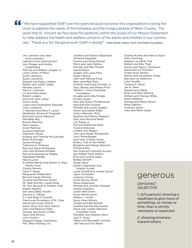**f** "We have supported SVdP over the years because we know this organization is doing the most to address the needs of the homeless and the hungry people of Marin County. The most that of the set of the people of the peopl most to address the needs of the homeless and the hungry people of Marin County. The work that St. Vincent de Paul does fits perfectly within the scope of our Mission Statement to 'help address the health and welfare concerns of the adults and children in our community.' Thank you for the good work SVdP is doing!!" —*Bob Kaliski, Harbor Point Charitable Foundation*

Jim Lammers and Jean Olive-Lammers Lawrence and Lelia Lanctot Lyle Shlager and Andria Langenberg Patricia and William Langley, Jr. Laser Center of Marin Scott Lawrence Susan Lawrence Edward and Kathy Lederer Robert and Judith Leedy Michele Lepine Myra K. Levenson Liz and Shep Heery Robert Loback Donna & John Loftus Grace Lozier Luann and Christopher Desautel Judy Lundquist J. Kenneth and Mary P. Lynch MacRostie Winery & Vineyards Emil and Lenore Maionchi Mandalay Bay Bonnie Manning Marin Subaru Andy Martinez Suzanne Martinez Mauritson Wines Andrew and Theresa McCullough Brian McGonigle Daniel McHugh Catherine D. McKown Rob and Diane McNamara John and Michele McNellis Paul and Georgianne Meade Stephanie Mendel Merrill Lynch M. Sheila Merritt and Robert D. Mass Family Fund Charito Merwin Carol P. Meyer Marguerite Middendorf Bill and Candy Mitchell Thomas and Marylou Moran Mr. Walt and Mrs. Laurel Rose Mt. Tam Racquet & Athletic Club Robert Murphy Dan and Debby Nowlin Vincent E. O'Brien P.J. and Mags O'Connell Franciscan Monastery of St. Clare Daniel and Susan Ohlson Karen Olson and Chris Osborn John and Patricia O'Neil Thomas and Susan O'Neill Opus One Winery John Orofino Margaret Peggy Osterkamp PAC West Painting, Inc.

Josefina and Dennis Papendick Christine Paquette Francis and Diana Parnell Mario and Jean Patane Michael and Mari Pautler Ingrid Pelton Angelo and Laura Pera Eileen Perkins John and Patricia Pizza Mary and Mike Plant Dominic and Susan Pomilia, Jr. Gary, Briana, and Milena Price William L. Price Charitable Foundation Douglas and Lidia Pringle Private Ocean Paul and Sharon Prudhomme Ned and Ellin Purdom Michael and Lucille Quigley Alison and Daniel Rabb Arthur Raisman, Ph.D. Stephen and Marian Rayburn Gary and Veronica Reed J.N. Reese Jr. Phil and Katherine Reilly Yvonne Robinson Loretta Ann Rogers John and Margo Rohrbacher Larry Rosenberger Irwin and Jill Ross-Kuntz Rotary Club of San Rafael Benjamin and Marian Rotnicki Christine Roy San Francisco Helvetia Society San Rafael Yacht Harbor Rick and Cynthia Sapp Bobby Sarnoff Susan Sauer Daniel Lowenstein and Virginia Schaaf Leslie Schaaf and Joseph Dyson Jason Schneider Julianne Schrick Scott Harvey Wines Gloria Segerquist Michael and Jennifer Shepard Harold Singleton Caitlin Weil Smith Scott Merritt Smith William J. Smith Spicy Vines Winery Joseph and Ella Spinelli Howard and Pamela Squires Diane and Joseph Stemach Charitable Fund Mariellen and Stephen Stern John F. Strain Albert and Bernadett Szilvasy Jeff Tate and Tori Walsh

Charles Runkel and Marcia Taylor Alice Temming Stephen and Britt Thal Robert and Ellie Thiel Dennis and Nancy Thompson David and Jill Thornton Truett Hurst Winery Steven and Jacqueline Tulsky Bob and Lia Valentino Luke Vandijk Theresa A. Ward Jan H. West Westamerica Bank Brian and Ruth Whiting William and Theresa Wilka Diana Williams Michael and Maria Yoham Rene Zakhour Anthony Zanze John and Marie Zeiter

# generous

*[jen(ə)rəs] ADJECTIVE*

*1. (of a person) showing a readiness to give more of something, as money or time, than is strictly necessary or expected.*

*2. showing kindness toward others.*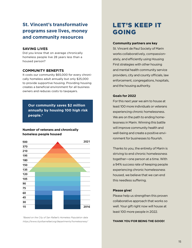# **St. Vincent's transformative programs save lives, money and community resources**

### **Saving lives**

Did you know that on average chronically homeless people live 28 years less than a housed person?

### **Community benefits**

It costs our community \$65,000 for every chronically homeless adult annually but only \$25,000 to provide supportive housing. Providing housing creates a beneficial environment for all business owners and reduces costs to taxpayers.

**Our community saves \$2 million annually by housing 100 high risk people.\***

### **Number of veterans and chronically homeless people housed**



*<sup>\*</sup>Based on the City of San Rafael's Homeless Population data https://www.cityofsanrafael.org/departments/homelessness/*

# Let's Keep it going

### **Community partners are key**

St. Vincent de Paul Society of Marin works collaboratively, compassionately, and efficiently using Housing First strategies with other housing and mental health community service providers, city and county officials, law enforcement, congregations, hospitals, and the housing authority.

### **Goals for 2022**

For this next year we aim to house at least 100 more individuals or veterans experiencing chronic homelessness. We are on the path to ending homelessness in Marin. Winning this battle will improve community health and well-being and create a positive environment for businesses to flourish.

Thanks to you, the entirety of Marin is striving to end chronic homelessness together—one person at a time. With a 94% success rate of keeping people experiencing chronic homelessness housed, we believe that we can end this needless suffering.

### **Please give!**

Please help us strengthen this proven collaborative approach that works so well. Your gift right now will house at least 100 more people in 2022.

#### **Thank you for being the good!**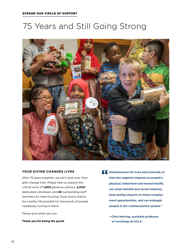# 75 Years and Still Going Strong



### **YOUR GIVING changes LIVES**

After 75 years together, we can't stop now. Your gifts change lives. Please help us expand the critical work of **1,800** generous donors, **2,000** dedicated volunteers and **40** outstanding staff members to make housing, food, and a chance for a better life possible for thousands of people needlessly hurting in Marin.

Please give what you can.

**Thank you for being the good!**

**4 F** Homelessness for even short periods of<br>
time has negative impacts on people's *time has negative impacts on people's physical, behavioral and mental health, can strain familial and social relations, have lasting impacts on future employment opportunities, and can entangle people in the criminal justice system.***"** 

> **—Chris Herring, assistant professor of sociology at UCLA.**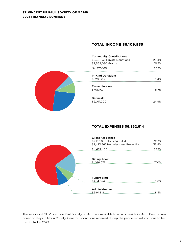## **Total Income \$8,109,935**

| <b>Community Contributions</b> |       |
|--------------------------------|-------|
| \$2,301,135 Private Donations  | 28.4% |
| \$2,569,030 Grants             | 31.7% |
| \$4,870,165                    | 60.1% |
| <b>In-Kind Donations</b>       |       |
| \$520,863                      | 6.4%  |
| <b>Earned Income</b>           |       |
| \$701,707                      | 8.7%  |
| <b>Bequests</b>                |       |
| \$2,017,200                    | 24.9% |

## **Total Expenses \$6,852,614**



The services at St. Vincent de Paul Society of Marin are available to all who reside in Marin County. Your donation stays in Marin County. Generous donations received during the pandemic will continue to be distributed in 2022.